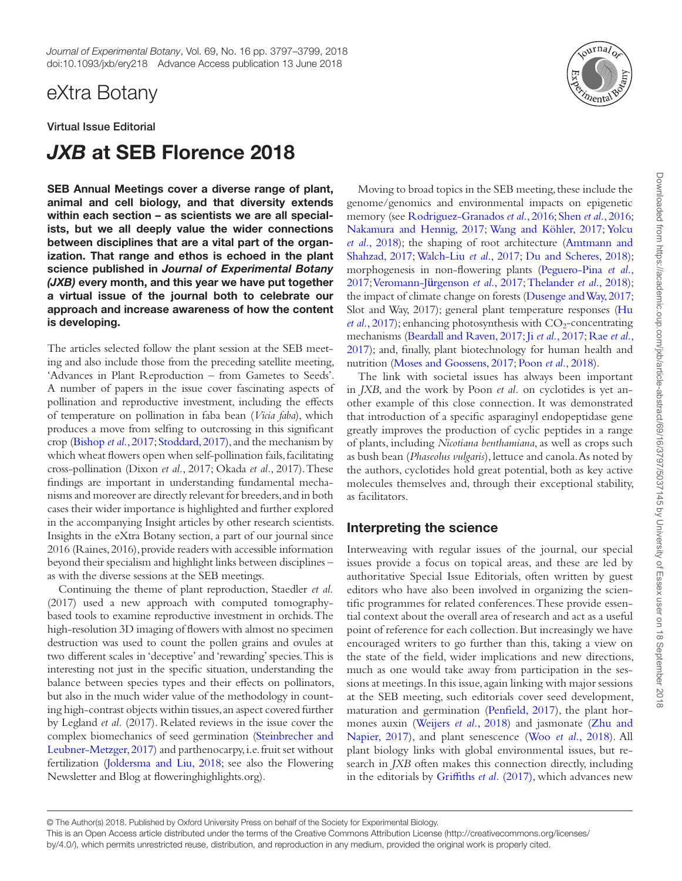## eXtra Botany

Virtual Issue Editorial

# *JXB* at SEB Florence 2018

SEB Annual Meetings cover a diverse range of plant, animal and cell biology, and that diversity extends within each section – as scientists we are all specialists, but we all deeply value the wider connections between disciplines that are a vital part of the organization. That range and ethos is echoed in the plant science published in *Journal of Experimental Botany (JXB)* every month, and this year we have put together a virtual issue of the journal both to celebrate our approach and increase awareness of how the content is developing.

The articles selected follow the plant session at the SEB meeting and also include those from the preceding satellite meeting, 'Advances in Plant Reproduction – from Gametes to Seeds'. A number of papers in the issue cover fascinating aspects of pollination and reproductive investment, including the effects of temperature on pollination in faba bean (*Vicia faba*), which produces a move from selfing to outcrossing in this significant crop ([Bishop](#page-1-0) *et al.*, 2017; [Stoddard, 2017](#page-2-0)), and the mechanism by which wheat flowers open when self-pollination fails, facilitating cross-pollination (Dixon *et al.*, 2017; Okada *et al.*, 2017). These findings are important in understanding fundamental mechanisms and moreover are directly relevant for breeders, and in both cases their wider importance is highlighted and further explored in the accompanying Insight articles by other research scientists. Insights in the eXtra Botany section, a part of our journal since 2016 (Raines, 2016), provide readers with accessible information beyond their specialism and highlight links between disciplines – as with the diverse sessions at the SEB meetings.

Continuing the theme of plant reproduction, Staedler *et al.* (2017) used a new approach with computed tomographybased tools to examine reproductive investment in orchids. The high-resolution 3D imaging of flowers with almost no specimen destruction was used to count the pollen grains and ovules at two different scales in 'deceptive' and 'rewarding' species. This is interesting not just in the specific situation, understanding the balance between species types and their effects on pollinators, but also in the much wider value of the methodology in counting high-contrast objects within tissues, an aspect covered further by Legland *et al.* (2017). Related reviews in the issue cover the complex biomechanics of seed germination [\(Steinbrecher and](#page-2-1)  [Leubner-Metzger, 2017\)](#page-2-1) and parthenocarpy, i.e. fruit set without fertilization [\(Joldersma and Liu, 2018;](#page-1-1) see also the Flowering Newsletter and Blog at floweringhighlights.org).



Moving to broad topics in the SEB meeting, these include the genome/genomics and environmental impacts on epigenetic memory (see [Rodriguez-Granados](#page-2-2) *et al.*, 2016; Shen *et al.*[, 2016;](#page-2-3) [Nakamura and Hennig, 2017](#page-2-4); [Wang and Köhler, 2017;](#page-2-5) [Yolcu](#page-2-6) *et al.*[, 2018\)](#page-2-6); the shaping of root architecture [\(Amtmann and](#page-1-2) [Shahzad, 2017](#page-1-2); [Walch-Liu](#page-2-7) *et al.*, 2017; [Du and Scheres, 2018\)](#page-1-3); morphogenesis in non-flowering plants [\(Peguero-Pina](#page-2-8) *et al.*, [2017;](#page-2-8) [Veromann-J](#page-2-9)ürgenson *et al.*, 2017; [Thelander](#page-2-10) *et al.*, 2018); the impact of climate change on forests ([Dusenge and Way, 2017;](#page-1-4) Slot and Way, 2017); general plant temperature responses ([Hu](#page-1-5) *et al.*[, 2017](#page-1-5)); enhancing photosynthesis with  $CO<sub>2</sub>$ -concentrating mechanisms [\(Beardall and Raven, 2017](#page-1-6); Ji *et al.*[, 2017;](#page-1-7) [Rae](#page-2-11) *et al.*, [2017\)](#page-2-11); and, finally, plant biotechnology for human health and nutrition ([Moses and Goossens, 2017](#page-2-12); Poon *et al.*[, 2018\)](#page-2-13).

The link with societal issues has always been important in *JXB*, and the work by Poon *et al.* on cyclotides is yet another example of this close connection. It was demonstrated that introduction of a specific asparaginyl endopeptidase gene greatly improves the production of cyclic peptides in a range of plants, including *Nicotiana benthamiana*, as well as crops such as bush bean (*Phaseolus vulgaris*), lettuce and canola. As noted by the authors, cyclotides hold great potential, both as key active molecules themselves and, through their exceptional stability, as facilitators.

#### Interpreting the science

Interweaving with regular issues of the journal, our special issues provide a focus on topical areas, and these are led by authoritative Special Issue Editorials, often written by guest editors who have also been involved in organizing the scientific programmes for related conferences. These provide essential context about the overall area of research and act as a useful point of reference for each collection. But increasingly we have encouraged writers to go further than this, taking a view on the state of the field, wider implications and new directions, much as one would take away from participation in the sessions at meetings. In this issue, again linking with major sessions at the SEB meeting, such editorials cover seed development, maturation and germination ([Penfield, 2017\)](#page-2-14), the plant hormones auxin [\(Weijers](#page-2-15) *et al.*, 2018) and jasmonate [\(Zhu and](#page-2-16) [Napier, 2017\)](#page-2-16), and plant senescence (Woo *et al.*[, 2018](#page-2-17)). All plant biology links with global environmental issues, but research in *JXB* often makes this connection directly, including in the editorials by [Griffiths](#page-1-8) *et al.* (2017), which advances new

<sup>©</sup> The Author(s) 2018. Published by Oxford University Press on behalf of the Society for Experimental Biology.

This is an Open Access article distributed under the terms of the Creative Commons Attribution License (http://creativecommons.org/licenses/

by/4.0/), which permits unrestricted reuse, distribution, and reproduction in any medium, provided the original work is properly cited.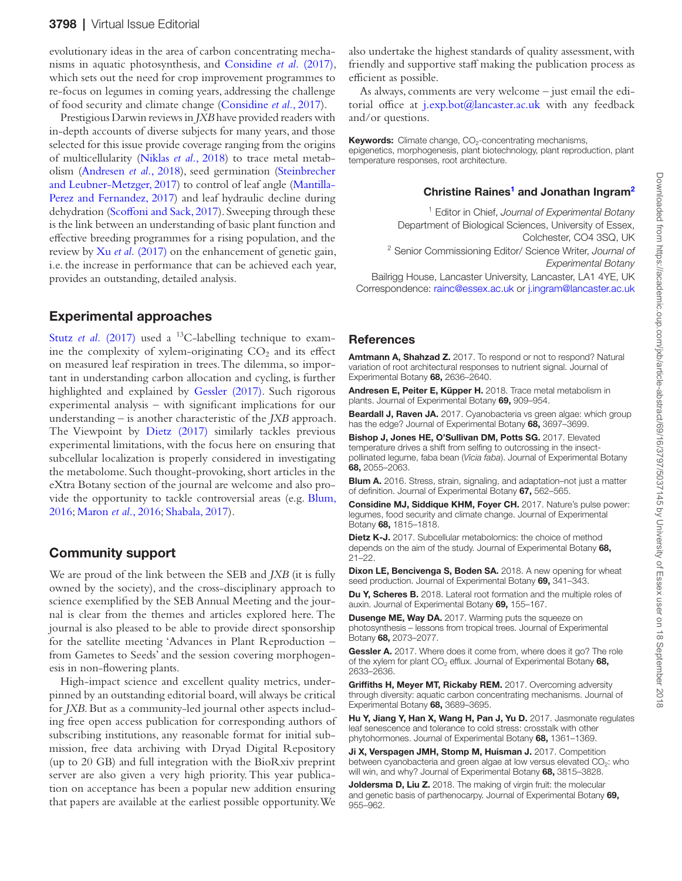evolutionary ideas in the area of carbon concentrating mechanisms in aquatic photosynthesis, and [Considine](#page-1-9) *et al.* (2017), which sets out the need for crop improvement programmes to re-focus on legumes in coming years, addressing the challenge of food security and climate change ([Considine](#page-1-9) *et al.*, 2017).

Prestigious Darwin reviews in *JXB* have provided readers with in-depth accounts of diverse subjects for many years, and those selected for this issue provide coverage ranging from the origins of multicellularity ([Niklas](#page-2-18) *et al.*, 2018) to trace metal metabolism [\(Andresen](#page-1-10) *et al.*, 2018), seed germination ([Steinbrecher](#page-2-1) [and Leubner-Metzger, 2017\)](#page-2-1) to control of leaf angle [\(Mantilla-](#page-2-19)[Perez and Fernandez, 2017\)](#page-2-19) and leaf hydraulic decline during dehydration ([Scoffoni and Sack, 2017](#page-2-20)). Sweeping through these is the link between an understanding of basic plant function and effective breeding programmes for a rising population, and the review by Xu *et al.* [\(2017\)](#page-2-21) on the enhancement of genetic gain, i.e. the increase in performance that can be achieved each year, provides an outstanding, detailed analysis.

#### Experimental approaches

Stutz *et al.* [\(2017\)](#page-2-22) used a <sup>13</sup>C-labelling technique to examine the complexity of xylem-originating  $CO<sub>2</sub>$  and its effect on measured leaf respiration in trees. The dilemma, so important in understanding carbon allocation and cycling, is further highlighted and explained by [Gessler \(2017\)](#page-1-11). Such rigorous experimental analysis – with significant implications for our understanding – is another characteristic of the *JXB* approach. The Viewpoint by [Dietz \(2017\)](#page-1-12) similarly tackles previous experimental limitations, with the focus here on ensuring that subcellular localization is properly considered in investigating the metabolome. Such thought-provoking, short articles in the eXtra Botany section of the journal are welcome and also provide the opportunity to tackle controversial areas (e.g. [Blum,](#page-1-13) [2016;](#page-1-13) [Maron](#page-2-23) *et al.*, 2016; [Shabala, 2017](#page-2-24)).

### Community support

We are proud of the link between the SEB and *JXB* (it is fully owned by the society), and the cross-disciplinary approach to science exemplified by the SEB Annual Meeting and the journal is clear from the themes and articles explored here. The journal is also pleased to be able to provide direct sponsorship for the satellite meeting 'Advances in Plant Reproduction – from Gametes to Seeds' and the session covering morphogenesis in non-flowering plants.

High-impact science and excellent quality metrics, underpinned by an outstanding editorial board, will always be critical for *JXB*. But as a community-led journal other aspects including free open access publication for corresponding authors of subscribing institutions, any reasonable format for initial submission, free data archiving with Dryad Digital Repository (up to 20 GB) and full integration with the BioRxiv preprint server are also given a very high priority. This year publication on acceptance has been a popular new addition ensuring that papers are available at the earliest possible opportunity. We

also undertake the highest standards of quality assessment, with friendly and supportive staff making the publication process as efficient as possible.

As always, comments are very welcome – just email the editorial office at j.exp.bot@lancaster.ac.uk with any feedback and/or questions.

Keywords: Climate change, CO<sub>2</sub>-concentrating mechanisms,

epigenetics, morphogenesis, plant biotechnology, plant reproduction, plant temperature responses, root architecture.

#### Christine Raines<sup>[1](#page-1-14)</sup> and Jonathan Ingram<sup>[2](#page-1-15)</sup>

<sup>1</sup> Editor in Chief, *Journal of Experimental Botany* Department of Biological Sciences, University of Essex, Colchester, CO4 3SQ, UK <sup>2</sup> Senior Commissioning Editor/ Science Writer, *Journal of* 

<span id="page-1-15"></span><span id="page-1-14"></span>*Experimental Botany*

Bailrigg House, Lancaster University, Lancaster, LA1 4YE, UK Correspondence: [rainc@essex.ac.uk](mailto:rainc@essex.ac.uk?subject=) or [j.ingram@lancaster.ac.uk](mailto:j.ingram@lancaster.ac.uk?subject=)

#### **References**

<span id="page-1-2"></span>Amtmann A, Shahzad Z. 2017. To respond or not to respond? Natural variation of root architectural responses to nutrient signal. Journal of Experimental Botany 68, 2636–2640.

<span id="page-1-10"></span>Andresen E, Peiter E, Küpper H. 2018. Trace metal metabolism in plants. Journal of Experimental Botany 69, 909–954.

<span id="page-1-6"></span>Beardall J, Raven JA. 2017. Cyanobacteria vs green algae: which group has the edge? Journal of Experimental Botany 68, 3697-3699.

<span id="page-1-0"></span>Bishop J, Jones HE, O'Sullivan DM, Potts SG. 2017. Elevated temperature drives a shift from selfing to outcrossing in the insectpollinated legume, faba bean (*Vicia faba*). Journal of Experimental Botany 68, 2055–2063.

<span id="page-1-13"></span>Blum A. 2016. Stress, strain, signaling, and adaptation-not just a matter of definition. Journal of Experimental Botany 67, 562–565.

<span id="page-1-9"></span>Considine MJ, Siddique KHM, Foyer CH. 2017. Nature's pulse power: legumes, food security and climate change. Journal of Experimental Botany 68, 1815–1818.

<span id="page-1-12"></span>**Dietz K-J.** 2017. Subcellular metabolomics: the choice of method depends on the aim of the study. Journal of Experimental Botany 68, 21–22.

Dixon LE, Bencivenga S, Boden SA. 2018. A new opening for wheat seed production. Journal of Experimental Botany 69, 341-343.

<span id="page-1-3"></span>Du Y, Scheres B. 2018. Lateral root formation and the multiple roles of auxin. Journal of Experimental Botany 69, 155–167.

<span id="page-1-4"></span>**Dusenge ME, Way DA.** 2017. Warming puts the squeeze on photosynthesis – lessons from tropical trees. Journal of Experimental Botany 68, 2073–2077.

<span id="page-1-11"></span>Gessler A. 2017. Where does it come from, where does it go? The role of the xylem for plant  $CO<sub>2</sub>$  efflux. Journal of Experimental Botany 68, 2633–2636.

<span id="page-1-8"></span>Griffiths H, Meyer MT, Rickaby REM. 2017. Overcoming adversity through diversity: aquatic carbon concentrating mechanisms. Journal of Experimental Botany 68, 3689–3695.

<span id="page-1-5"></span>Hu Y, Jiang Y, Han X, Wang H, Pan J, Yu D. 2017. Jasmonate regulates leaf senescence and tolerance to cold stress: crosstalk with other phytohormones. Journal of Experimental Botany 68, 1361–1369.

<span id="page-1-7"></span>Ji X, Verspagen JMH, Stomp M, Huisman J. 2017. Competition between cyanobacteria and green algae at low versus elevated  $CO<sub>2</sub>$ : who will win, and why? Journal of Experimental Botany 68, 3815-3828.

<span id="page-1-1"></span>Joldersma D, Liu Z. 2018. The making of virgin fruit: the molecular and genetic basis of parthenocarpy. Journal of Experimental Botany 69, 955–962.